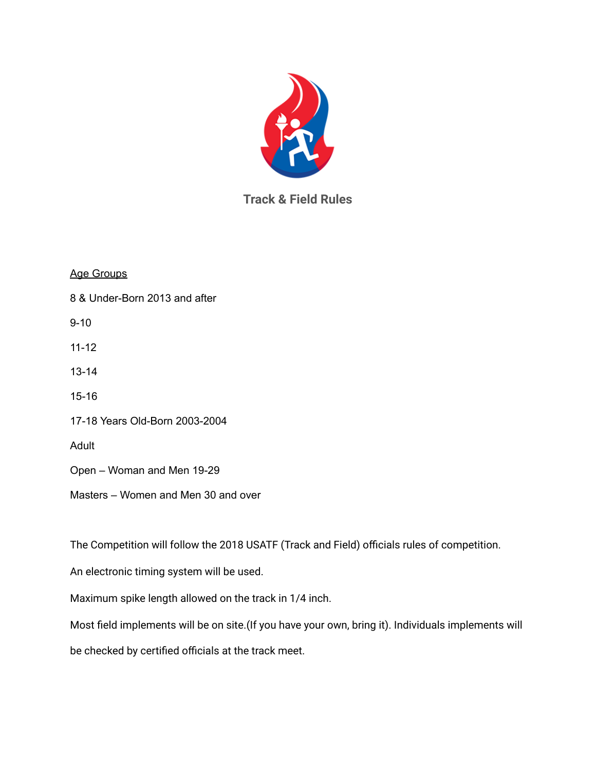

## **Track & Field Rules**

Age Groups

8 & Under-Born 2013 and after

9-10

11-12

13-14

15-16

17-18 Years Old-Born 2003-2004

Adult

Open – Woman and Men 19-29

Masters – Women and Men 30 and over

The Competition will follow the 2018 USATF (Track and Field) officials rules of competition.

An electronic timing system will be used.

Maximum spike length allowed on the track in 1/4 inch.

Most field implements will be on site.(If you have your own, bring it). Individuals implements will

be checked by certified officials at the track meet.